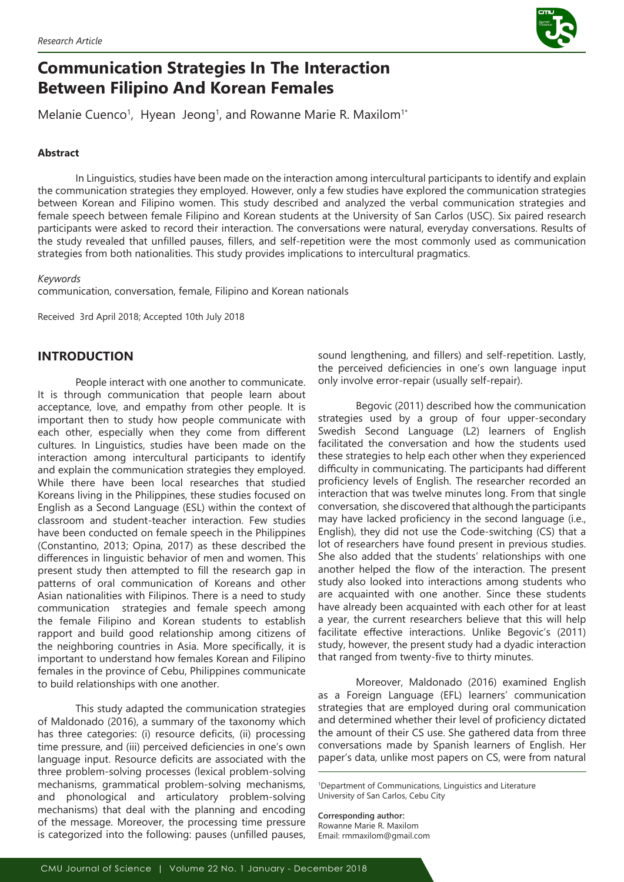

# **Communication Strategies In The Interaction Between Filipino And Korean Females**

Melanie Cuenco<sup>1</sup>, Hyean Jeong<sup>1</sup>, and Rowanne Marie R. Maxilom<sup>1</sup>

# **Abstract**

In Linguistics, studies have been made on the interaction among intercultural participants to identify and explain the communication strategies they employed. However, only a few studies have explored the communication strategies between Korean and Filipino women. This study described and analyzed the verbal communication strategies and female speech between female Filipino and Korean students at the University of San Carlos (USC). Six paired research participants were asked to record their interaction. The conversations were natural, everyday conversations. Results of the study revealed that unfilled pauses, fillers, and self-repetition were the most commonly used as communication strategies from both nationalities. This study provides implications to intercultural pragmatics.

## *Keywords*

communication, conversation, female, Filipino and Korean nationals

Received 3rd April 2018; Accepted 10th July 2018

# **INTRODUCTION**

People interact with one another to communicate. It is through communication that people learn about acceptance, love, and empathy from other people. It is important then to study how people communicate with each other, especially when they come from different cultures. In Linguistics, studies have been made on the interaction among intercultural participants to identify and explain the communication strategies they employed. While there have been local researches that studied Koreans living in the Philippines, these studies focused on English as a Second Language (ESL) within the context of classroom and student-teacher interaction. Few studies have been conducted on female speech in the Philippines (Constantino, 2013; Opina, 2017) as these described the differences in linguistic behavior of men and women. This present study then attempted to fill the research gap in patterns of oral communication of Koreans and other Asian nationalities with Filipinos. There is a need to study communication strategies and female speech among the female Filipino and Korean students to establish rapport and build good relationship among citizens of the neighboring countries in Asia. More specifically, it is important to understand how females Korean and Filipino females in the province of Cebu, Philippines communicate to build relationships with one another.

This study adapted the communication strategies of Maldonado (2016), a summary of the taxonomy which has three categories: (i) resource deficits, (ii) processing time pressure, and (iii) perceived deficiencies in one's own language input. Resource deficits are associated with the three problem-solving processes (lexical problem-solving mechanisms, grammatical problem-solving mechanisms, and phonological and articulatory problem-solving mechanisms) that deal with the planning and encoding of the message. Moreover, the processing time pressure is categorized into the following: pauses (unfilled pauses, sound lengthening, and fillers) and self-repetition. Lastly, the perceived deficiencies in one's own language input only involve error-repair (usually self-repair).

Begovic (2011) described how the communication strategies used by a group of four upper-secondary Swedish Second Language (L2) learners of English facilitated the conversation and how the students used these strategies to help each other when they experienced difficulty in communicating. The participants had different proficiency levels of English. The researcher recorded an interaction that was twelve minutes long. From that single conversation, she discovered that although the participants may have lacked proficiency in the second language (i.e., English), they did not use the Code-switching (CS) that a lot of researchers have found present in previous studies. She also added that the students' relationships with one another helped the flow of the interaction. The present study also looked into interactions among students who are acquainted with one another. Since these students have already been acquainted with each other for at least a year, the current researchers believe that this will help facilitate effective interactions. Unlike Begovic's (2011) study, however, the present study had a dyadic interaction that ranged from twenty-five to thirty minutes.

Moreover, Maldonado (2016) examined English as a Foreign Language (EFL) learners' communication strategies that are employed during oral communication and determined whether their level of proficiency dictated the amount of their CS use. She gathered data from three conversations made by Spanish learners of English. Her paper's data, unlike most papers on CS, were from natural

**Corresponding author:** Rowanne Marie R. Maxilom Email: rmmaxilom@gmail.com

<sup>1</sup> Department of Communications, Linguistics and Literature University of San Carlos, Cebu City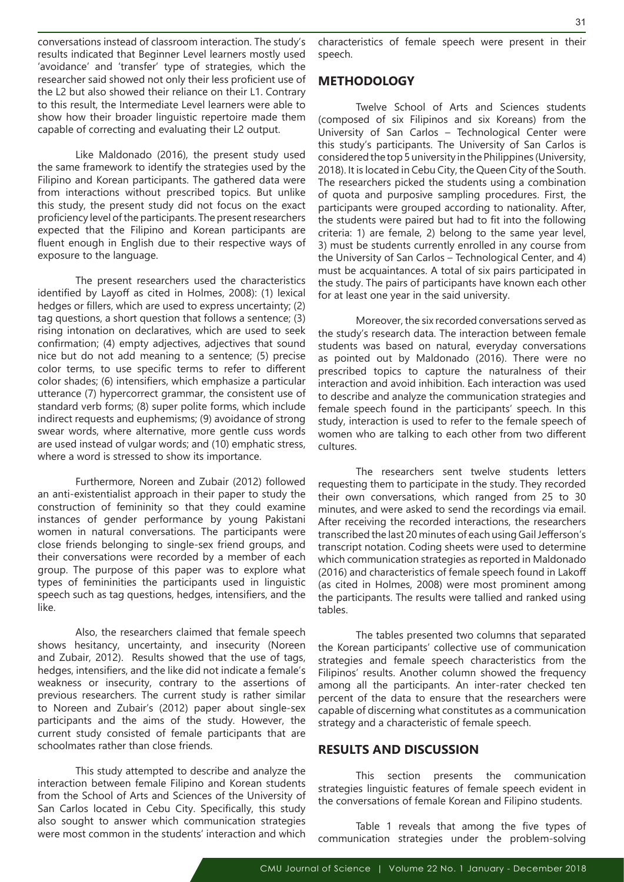conversations instead of classroom interaction. The study's results indicated that Beginner Level learners mostly used 'avoidance' and 'transfer' type of strategies, which the researcher said showed not only their less proficient use of the L2 but also showed their reliance on their L1. Contrary to this result, the Intermediate Level learners were able to show how their broader linguistic repertoire made them capable of correcting and evaluating their L2 output.

Like Maldonado (2016), the present study used the same framework to identify the strategies used by the Filipino and Korean participants. The gathered data were from interactions without prescribed topics. But unlike this study, the present study did not focus on the exact proficiency level of the participants. The present researchers expected that the Filipino and Korean participants are fluent enough in English due to their respective ways of exposure to the language.

The present researchers used the characteristics identified by Layoff as cited in Holmes, 2008): (1) lexical hedges or fillers, which are used to express uncertainty; (2) tag questions, a short question that follows a sentence; (3) rising intonation on declaratives, which are used to seek confirmation; (4) empty adjectives, adjectives that sound nice but do not add meaning to a sentence; (5) precise color terms, to use specific terms to refer to different color shades; (6) intensifiers, which emphasize a particular utterance (7) hypercorrect grammar, the consistent use of standard verb forms; (8) super polite forms, which include indirect requests and euphemisms; (9) avoidance of strong swear words, where alternative, more gentle cuss words are used instead of vulgar words; and (10) emphatic stress, where a word is stressed to show its importance.

Furthermore, Noreen and Zubair (2012) followed an anti-existentialist approach in their paper to study the construction of femininity so that they could examine instances of gender performance by young Pakistani women in natural conversations. The participants were close friends belonging to single-sex friend groups, and their conversations were recorded by a member of each group. The purpose of this paper was to explore what types of femininities the participants used in linguistic speech such as tag questions, hedges, intensifiers, and the like.

Also, the researchers claimed that female speech shows hesitancy, uncertainty, and insecurity (Noreen and Zubair, 2012). Results showed that the use of tags, hedges, intensifiers, and the like did not indicate a female's weakness or insecurity, contrary to the assertions of previous researchers. The current study is rather similar to Noreen and Zubair's (2012) paper about single-sex participants and the aims of the study. However, the current study consisted of female participants that are schoolmates rather than close friends.

This study attempted to describe and analyze the interaction between female Filipino and Korean students from the School of Arts and Sciences of the University of San Carlos located in Cebu City. Specifically, this study also sought to answer which communication strategies were most common in the students' interaction and which

characteristics of female speech were present in their speech.

# **METHODOLOGY**

Twelve School of Arts and Sciences students (composed of six Filipinos and six Koreans) from the University of San Carlos – Technological Center were this study's participants. The University of San Carlos is considered the top 5 university in the Philippines (University, 2018). It is located in Cebu City, the Queen City of the South. The researchers picked the students using a combination of quota and purposive sampling procedures. First, the participants were grouped according to nationality. After, the students were paired but had to fit into the following criteria: 1) are female, 2) belong to the same year level, 3) must be students currently enrolled in any course from the University of San Carlos – Technological Center, and 4) must be acquaintances. A total of six pairs participated in the study. The pairs of participants have known each other for at least one year in the said university.

Moreover, the six recorded conversations served as the study's research data. The interaction between female students was based on natural, everyday conversations as pointed out by Maldonado (2016). There were no prescribed topics to capture the naturalness of their interaction and avoid inhibition. Each interaction was used to describe and analyze the communication strategies and female speech found in the participants' speech. In this study, interaction is used to refer to the female speech of women who are talking to each other from two different cultures.

The researchers sent twelve students letters requesting them to participate in the study. They recorded their own conversations, which ranged from 25 to 30 minutes, and were asked to send the recordings via email. After receiving the recorded interactions, the researchers transcribed the last 20 minutes of each using Gail Jefferson's transcript notation. Coding sheets were used to determine which communication strategies as reported in Maldonado (2016) and characteristics of female speech found in Lakoff (as cited in Holmes, 2008) were most prominent among the participants. The results were tallied and ranked using tables.

The tables presented two columns that separated the Korean participants' collective use of communication strategies and female speech characteristics from the Filipinos' results. Another column showed the frequency among all the participants. An inter-rater checked ten percent of the data to ensure that the researchers were capable of discerning what constitutes as a communication strategy and a characteristic of female speech.

# **RESULTS AND DISCUSSION**

This section presents the communication strategies linguistic features of female speech evident in the conversations of female Korean and Filipino students.

Table 1 reveals that among the five types of communication strategies under the problem-solving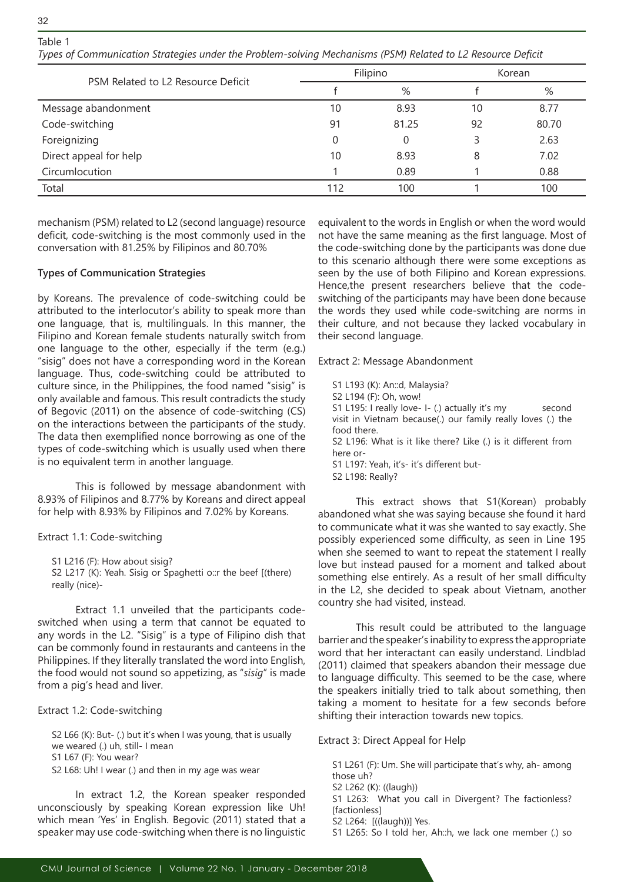# Table 1

32

*Types of Communication Strategies under the Problem-solving Mechanisms (PSM) Related to L2 Resource Deficit*

| PSM Related to L2 Resource Deficit |     | Filipino | Korean |       |
|------------------------------------|-----|----------|--------|-------|
|                                    |     | %        | $\%$   |       |
| Message abandonment                | 10  | 8.93     | 10     | 8.77  |
| Code-switching                     | 91  | 81.25    | 92     | 80.70 |
| Foreignizing                       | 0   | 0        | 3      | 2.63  |
| Direct appeal for help             | 10  | 8.93     | 8      | 7.02  |
| Circumlocution                     |     | 0.89     |        | 0.88  |
| Total                              | 112 | 100      |        | 100   |

mechanism (PSM) related to L2 (second language) resource deficit, code-switching is the most commonly used in the conversation with 81.25% by Filipinos and 80.70%

## **Types of Communication Strategies**

by Koreans. The prevalence of code-switching could be attributed to the interlocutor's ability to speak more than one language, that is, multilinguals. In this manner, the Filipino and Korean female students naturally switch from one language to the other, especially if the term (e.g.) "sisig" does not have a corresponding word in the Korean language. Thus, code-switching could be attributed to culture since, in the Philippines, the food named "sisig" is only available and famous. This result contradicts the study of Begovic (2011) on the absence of code-switching (CS) on the interactions between the participants of the study. The data then exemplified nonce borrowing as one of the types of code-switching which is usually used when there is no equivalent term in another language.

This is followed by message abandonment with 8.93% of Filipinos and 8.77% by Koreans and direct appeal for help with 8.93% by Filipinos and 7.02% by Koreans.

Extract 1.1: Code-switching

S1 L216 (F): How about sisig? S2 L217 (K): Yeah. Sisig or Spaghetti o::r the beef [(there) really (nice)-

Extract 1.1 unveiled that the participants codeswitched when using a term that cannot be equated to any words in the L2. "Sisig" is a type of Filipino dish that can be commonly found in restaurants and canteens in the Philippines. If they literally translated the word into English, the food would not sound so appetizing, as "*sisig*" is made from a pig's head and liver.

Extract 1.2: Code-switching

S2 L66 (K): But- (.) but it's when I was young, that is usually we weared (.) uh, still- I mean S1 L67 (F): You wear? S2 L68: Uh! I wear (.) and then in my age was wear

In extract 1.2, the Korean speaker responded unconsciously by speaking Korean expression like Uh! which mean 'Yes' in English. Begovic (2011) stated that a speaker may use code-switching when there is no linguistic equivalent to the words in English or when the word would not have the same meaning as the first language. Most of the code-switching done by the participants was done due to this scenario although there were some exceptions as seen by the use of both Filipino and Korean expressions. Hence,the present researchers believe that the codeswitching of the participants may have been done because the words they used while code-switching are norms in their culture, and not because they lacked vocabulary in their second language.

Extract 2: Message Abandonment

S1 L193 (K): An::d, Malaysia? S2 L194 (F): Oh, wow! S1 L195: I really love- I- (.) actually it's my second visit in Vietnam because(.) our family really loves (.) the food there. S2 L196: What is it like there? Like (.) is it different from here or-S1 L197: Yeah, it's- it's different but-

S2 L198: Really?

This extract shows that S1(Korean) probably abandoned what she was saying because she found it hard to communicate what it was she wanted to say exactly. She possibly experienced some difficulty, as seen in Line 195 when she seemed to want to repeat the statement I really love but instead paused for a moment and talked about something else entirely. As a result of her small difficulty in the L2, she decided to speak about Vietnam, another country she had visited, instead.

This result could be attributed to the language barrier and the speaker's inability to express the appropriate word that her interactant can easily understand. Lindblad (2011) claimed that speakers abandon their message due to language difficulty. This seemed to be the case, where the speakers initially tried to talk about something, then taking a moment to hesitate for a few seconds before shifting their interaction towards new topics.

Extract 3: Direct Appeal for Help

S1 L261 (F): Um. She will participate that's why, ah- among those uh?

- S2 L262 (K): ((laugh))
- S1 L263: What you call in Divergent? The factionless? [factionless]
- S2 L264: [((laugh))] Yes.
- S1 L265: So I told her, Ah::h, we lack one member (.) so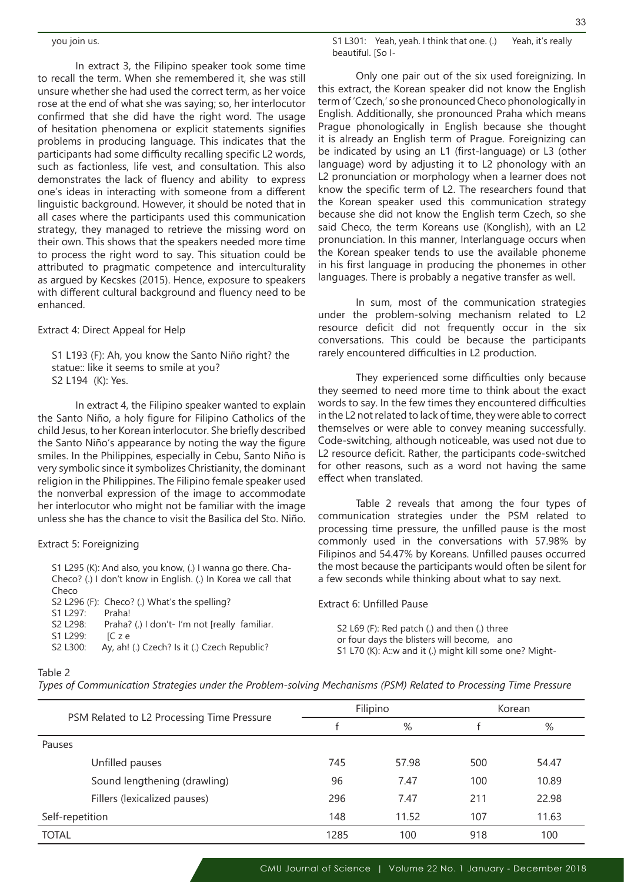In extract 3, the Filipino speaker took some time to recall the term. When she remembered it, she was still unsure whether she had used the correct term, as her voice rose at the end of what she was saying; so, her interlocutor confirmed that she did have the right word. The usage of hesitation phenomena or explicit statements signifies problems in producing language. This indicates that the participants had some difficulty recalling specific L2 words, such as factionless, life vest, and consultation. This also demonstrates the lack of fluency and ability to express one's ideas in interacting with someone from a different linguistic background. However, it should be noted that in all cases where the participants used this communication strategy, they managed to retrieve the missing word on their own. This shows that the speakers needed more time to process the right word to say. This situation could be attributed to pragmatic competence and interculturality as argued by Kecskes (2015). Hence, exposure to speakers with different cultural background and fluency need to be enhanced.

Extract 4: Direct Appeal for Help

S1 L193 (F): Ah, you know the Santo Niño right? the statue:: like it seems to smile at you? S2 L194 (K): Yes.

In extract 4, the Filipino speaker wanted to explain the Santo Niño, a holy figure for Filipino Catholics of the child Jesus, to her Korean interlocutor. She briefly described the Santo Niño's appearance by noting the way the figure smiles. In the Philippines, especially in Cebu, Santo Niño is very symbolic since it symbolizes Christianity, the dominant religion in the Philippines. The Filipino female speaker used the nonverbal expression of the image to accommodate her interlocutor who might not be familiar with the image unless she has the chance to visit the Basilica del Sto. Niño.

### Extract 5: Foreignizing

S1 L295 (K): And also, you know, (.) I wanna go there. Cha-Checo? (.) I don't know in English. (.) In Korea we call that Checo S2 L296 (F): Checo? (.) What's the spelling?

S1 L297: Praha!

- S2 L298: Praha? (.) I don't- I'm not [really familiar. S1 L299: IC z e
- S2 L300: Ay, ah! (.) Czech? Is it (.) Czech Republic?

S1 L301: Yeah, yeah. I think that one. (.) Yeah, it's really beautiful. [So I-

Only one pair out of the six used foreignizing. In this extract, the Korean speaker did not know the English term of 'Czech,' so she pronounced Checo phonologically in English. Additionally, she pronounced Praha which means Prague phonologically in English because she thought it is already an English term of Prague. Foreignizing can be indicated by using an L1 (first-language) or L3 (other language) word by adjusting it to L2 phonology with an L2 pronunciation or morphology when a learner does not know the specific term of L2. The researchers found that the Korean speaker used this communication strategy because she did not know the English term Czech, so she said Checo, the term Koreans use (Konglish), with an L2 pronunciation. In this manner, Interlanguage occurs when the Korean speaker tends to use the available phoneme in his first language in producing the phonemes in other languages. There is probably a negative transfer as well.

In sum, most of the communication strategies under the problem-solving mechanism related to L2 resource deficit did not frequently occur in the six conversations. This could be because the participants rarely encountered difficulties in L2 production.

They experienced some difficulties only because they seemed to need more time to think about the exact words to say. In the few times they encountered difficulties in the L2 not related to lack of time, they were able to correct themselves or were able to convey meaning successfully. Code-switching, although noticeable, was used not due to L2 resource deficit. Rather, the participants code-switched for other reasons, such as a word not having the same effect when translated.

Table 2 reveals that among the four types of communication strategies under the PSM related to processing time pressure, the unfilled pause is the most commonly used in the conversations with 57.98% by Filipinos and 54.47% by Koreans. Unfilled pauses occurred the most because the participants would often be silent for a few seconds while thinking about what to say next.

Extract 6: Unfilled Pause

S2 L69 (F): Red patch (.) and then (.) three or four days the blisters will become, ano S1 L70 (K): A::w and it (.) might kill some one? Might-

### Table 2

*Types of Communication Strategies under the Problem-solving Mechanisms (PSM) Related to Processing Time Pressure* 

|                 |                                            |      | Filipino | Korean |       |  |
|-----------------|--------------------------------------------|------|----------|--------|-------|--|
|                 | PSM Related to L2 Processing Time Pressure |      | %        |        | %     |  |
| Pauses          |                                            |      |          |        |       |  |
|                 | Unfilled pauses                            | 745  | 57.98    | 500    | 54.47 |  |
|                 | Sound lengthening (drawling)               | 96   | 7.47     | 100    | 10.89 |  |
|                 | Fillers (lexicalized pauses)               | 296  | 7.47     | 211    | 22.98 |  |
| Self-repetition |                                            | 148  | 11.52    | 107    | 11.63 |  |
| <b>TOTAL</b>    |                                            | 1285 | 100      | 918    | 100   |  |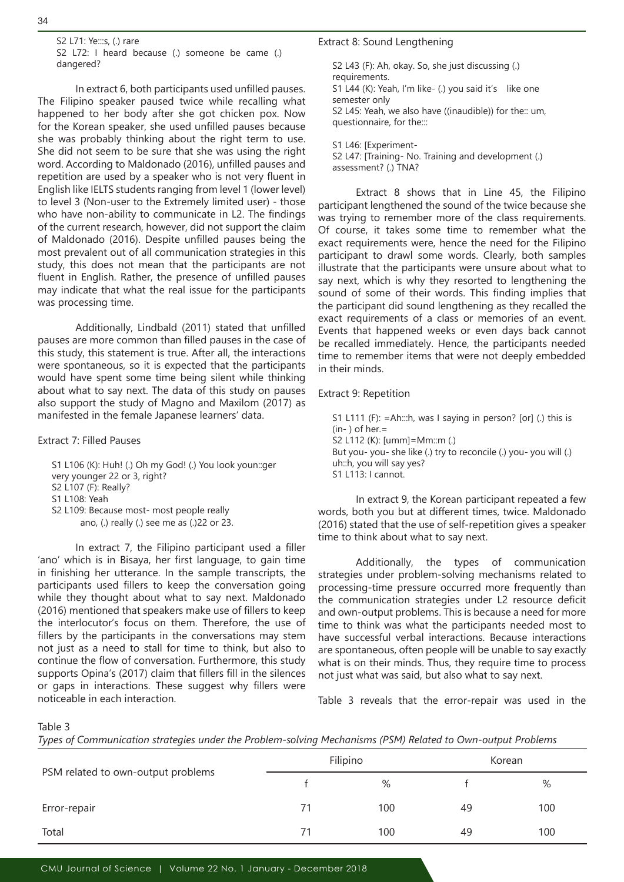S2 L71: Ye:::s, (.) rare S2 L72: I heard because (.) someone be came (.) dangered?

In extract 6, both participants used unfilled pauses. The Filipino speaker paused twice while recalling what happened to her body after she got chicken pox. Now for the Korean speaker, she used unfilled pauses because she was probably thinking about the right term to use. She did not seem to be sure that she was using the right word. According to Maldonado (2016), unfilled pauses and repetition are used by a speaker who is not very fluent in English like IELTS students ranging from level 1 (lower level) to level 3 (Non-user to the Extremely limited user) - those who have non-ability to communicate in L2. The findings of the current research, however, did not support the claim of Maldonado (2016). Despite unfilled pauses being the most prevalent out of all communication strategies in this study, this does not mean that the participants are not fluent in English. Rather, the presence of unfilled pauses may indicate that what the real issue for the participants was processing time.

Additionally, Lindbald (2011) stated that unfilled pauses are more common than filled pauses in the case of this study, this statement is true. After all, the interactions were spontaneous, so it is expected that the participants would have spent some time being silent while thinking about what to say next. The data of this study on pauses also support the study of Magno and Maxilom (2017) as manifested in the female Japanese learners' data.

#### Extract 7: Filled Pauses

S1 L106 (K): Huh! (.) Oh my God! (.) You look youn::ger very younger 22 or 3, right? S2 L107 (F): Really? S1 L108: Yeah S2 L109: Because most- most people really ano, (.) really (.) see me as (.)22 or 23.

In extract 7, the Filipino participant used a filler 'ano' which is in Bisaya, her first language, to gain time in finishing her utterance. In the sample transcripts, the participants used fillers to keep the conversation going while they thought about what to say next. Maldonado (2016) mentioned that speakers make use of fillers to keep the interlocutor's focus on them. Therefore, the use of fillers by the participants in the conversations may stem not just as a need to stall for time to think, but also to continue the flow of conversation. Furthermore, this study supports Opina's (2017) claim that fillers fill in the silences or gaps in interactions. These suggest why fillers were noticeable in each interaction.

#### Extract 8: Sound Lengthening

S2 L43 (F): Ah, okay. So, she just discussing (.) requirements. S1 L44 (K): Yeah, I'm like- (.) you said it's like one semester only S2 L45: Yeah, we also have ((inaudible)) for the:: um, questionnaire, for the:::

S1 L46: [Experiment-S2 L47: [Training- No. Training and development (.) assessment? (.) TNA?

Extract 8 shows that in Line 45, the Filipino participant lengthened the sound of the twice because she was trying to remember more of the class requirements. Of course, it takes some time to remember what the exact requirements were, hence the need for the Filipino participant to drawl some words. Clearly, both samples illustrate that the participants were unsure about what to say next, which is why they resorted to lengthening the sound of some of their words. This finding implies that the participant did sound lengthening as they recalled the exact requirements of a class or memories of an event. Events that happened weeks or even days back cannot be recalled immediately. Hence, the participants needed time to remember items that were not deeply embedded in their minds.

#### Extract 9: Repetition

S1 L111 (F): =Ah:::h, was I saying in person? [or] (.) this is  $(in-)$  of her.= S2 L112 (K): [umm]=Mm::m (.) But you- you- she like (.) try to reconcile (.) you- you will (.) uh::h, you will say yes? S1 L113: I cannot.

In extract 9, the Korean participant repeated a few words, both you but at different times, twice. Maldonado (2016) stated that the use of self-repetition gives a speaker time to think about what to say next.

Additionally, the types of communication strategies under problem-solving mechanisms related to processing-time pressure occurred more frequently than the communication strategies under L2 resource deficit and own-output problems. This is because a need for more time to think was what the participants needed most to have successful verbal interactions. Because interactions are spontaneous, often people will be unable to say exactly what is on their minds. Thus, they require time to process not just what was said, but also what to say next.

Table 3 reveals that the error-repair was used in the

Table 3

|  |  |  |  |  |  |  |  |  |  | Types of Communication strategies under the Problem-solving Mechanisms (PSM) Related to Own-output Problems |  |
|--|--|--|--|--|--|--|--|--|--|-------------------------------------------------------------------------------------------------------------|--|
|--|--|--|--|--|--|--|--|--|--|-------------------------------------------------------------------------------------------------------------|--|

|                                    |    | Filipino | Korean |     |  |
|------------------------------------|----|----------|--------|-----|--|
| PSM related to own-output problems |    | %        |        | %   |  |
| Error-repair                       | 71 | 100      | 49     | 100 |  |
| Total                              | 71 | 100      | 49     | 100 |  |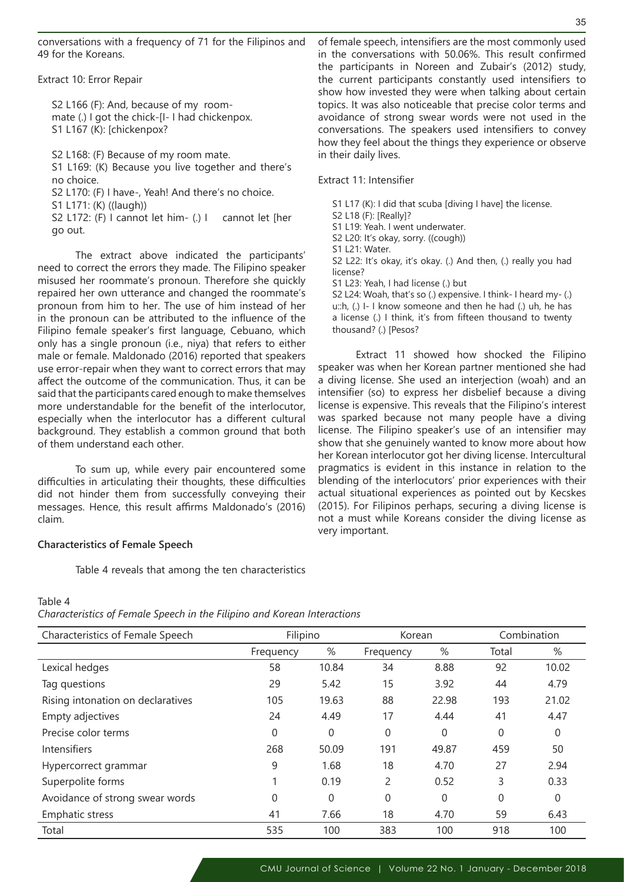conversations with a frequency of 71 for the Filipinos and 49 for the Koreans.

Extract 10: Error Repair

S2 L166 (F): And, because of my roommate (.) I got the chick-[I- I had chickenpox. S1 L167 (K): [chickenpox?

S2 L168: (F) Because of my room mate. S1 L169: (K) Because you live together and there's no choice. S2 L170: (F) I have-, Yeah! And there's no choice. S1 L171: (K) ((laugh))

S2 L172: (F) I cannot let him- (.) I cannot let [her go out.

The extract above indicated the participants' need to correct the errors they made. The Filipino speaker misused her roommate's pronoun. Therefore she quickly repaired her own utterance and changed the roommate's pronoun from him to her. The use of him instead of her in the pronoun can be attributed to the influence of the Filipino female speaker's first language, Cebuano, which only has a single pronoun (i.e., niya) that refers to either male or female. Maldonado (2016) reported that speakers use error-repair when they want to correct errors that may affect the outcome of the communication. Thus, it can be said that the participants cared enough to make themselves more understandable for the benefit of the interlocutor, especially when the interlocutor has a different cultural background. They establish a common ground that both of them understand each other.

To sum up, while every pair encountered some difficulties in articulating their thoughts, these difficulties did not hinder them from successfully conveying their messages. Hence, this result affirms Maldonado's (2016) claim.

### **Characteristics of Female Speech**

Table 4 reveals that among the ten characteristics

of female speech, intensifiers are the most commonly used in the conversations with 50.06%. This result confirmed the participants in Noreen and Zubair's (2012) study, the current participants constantly used intensifiers to show how invested they were when talking about certain topics. It was also noticeable that precise color terms and avoidance of strong swear words were not used in the conversations. The speakers used intensifiers to convey how they feel about the things they experience or observe in their daily lives.

#### Extract 11: Intensifier

S1 L17 (K): I did that scuba [diving I have] the license.

S2 L18 (F): [Really]?

S1 L19: Yeah. I went underwater.

S2 L20: It's okay, sorry. ((cough))

S1 L21: Water.

S2 L22: It's okay, it's okay. (.) And then, (.) really you had license?

S1 L23: Yeah, I had license (.) but

S2 L24: Woah, that's so (.) expensive. I think- I heard my- (.) u::h, (.) I- I know someone and then he had (.) uh, he has a license (.) I think, it's from fifteen thousand to twenty thousand? (.) [Pesos?

Extract 11 showed how shocked the Filipino speaker was when her Korean partner mentioned she had a diving license. She used an interjection (woah) and an intensifier (so) to express her disbelief because a diving license is expensive. This reveals that the Filipino's interest was sparked because not many people have a diving license. The Filipino speaker's use of an intensifier may show that she genuinely wanted to know more about how her Korean interlocutor got her diving license. Intercultural pragmatics is evident in this instance in relation to the blending of the interlocutors' prior experiences with their actual situational experiences as pointed out by Kecskes (2015). For Filipinos perhaps, securing a diving license is not a must while Koreans consider the diving license as very important.

# Table 4

*Characteristics of Female Speech in the Filipino and Korean Interactions*

| Characteristics of Female Speech  | Filipino  |          | Korean    |       | Combination |       |
|-----------------------------------|-----------|----------|-----------|-------|-------------|-------|
|                                   | Frequency | %        | Frequency | %     | Total       | %     |
| Lexical hedges                    | 58        | 10.84    | 34        | 8.88  | 92          | 10.02 |
| Tag questions                     | 29        | 5.42     | 15        | 3.92  | 44          | 4.79  |
| Rising intonation on declaratives | 105       | 19.63    | 88        | 22.98 | 193         | 21.02 |
| Empty adjectives                  | 24        | 4.49     | 17        | 4.44  | 41          | 4.47  |
| Precise color terms               | 0         | $\Omega$ | 0         | 0     | 0           | 0     |
| <b>Intensifiers</b>               | 268       | 50.09    | 191       | 49.87 | 459         | 50    |
| Hypercorrect grammar              | 9         | 1.68     | 18        | 4.70  | 27          | 2.94  |
| Superpolite forms                 |           | 0.19     | 2         | 0.52  | 3           | 0.33  |
| Avoidance of strong swear words   | 0         | $\Omega$ | 0         | 0     | 0           | 0     |
| <b>Emphatic stress</b>            | 41        | 7.66     | 18        | 4.70  | 59          | 6.43  |
| Total                             | 535       | 100      | 383       | 100   | 918         | 100   |